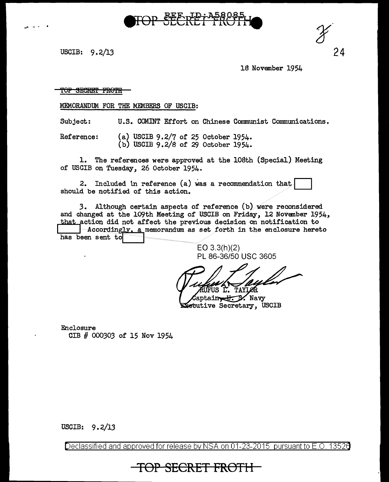USCIB: 9.2/13

18 November 1954

24

T<del>OP SECRET FROTH</del>

MEMORANDUM FOR THE MEMBERS OF USCIB:

Subject: U.S. COMINT Effort on Chinese Communist Communications.

TOP SEERET TKOTT

(a) USCIB  $9.2/7$  of 25 October 1954. Reference: (b) USCIB  $9.2/8$  of 29 October 1954.

l. The references were approved at the 108th (Special) Meeting of USCIB on Tuesday, 26 October 1954.

2. Included in reference (a) was a recommendation that should be notified of this action.

3. Although certain aspects of reference (b) were reconsidered and changed at the 109th Meeting of USCIB on Friday, 12 November 1954, that action did not affect the previous decision on notification to -Accordingly, a memorandum as set forth in the enclosure hereto has been sent to

> EO  $3.3(h)(2)$ PL 86-36/50 USC 3605

US L. **TAYL** 

uptain U.S. Navy ecutive Secretary, USCIB

Enclosure CIB # 000303 of 15 Nov 1954

USCIB:  $9.2/13$ 

Declassified and approved for release by NSA on 01-23-2015 pursuant to E.O. 13526

TOP SECRET FROTH